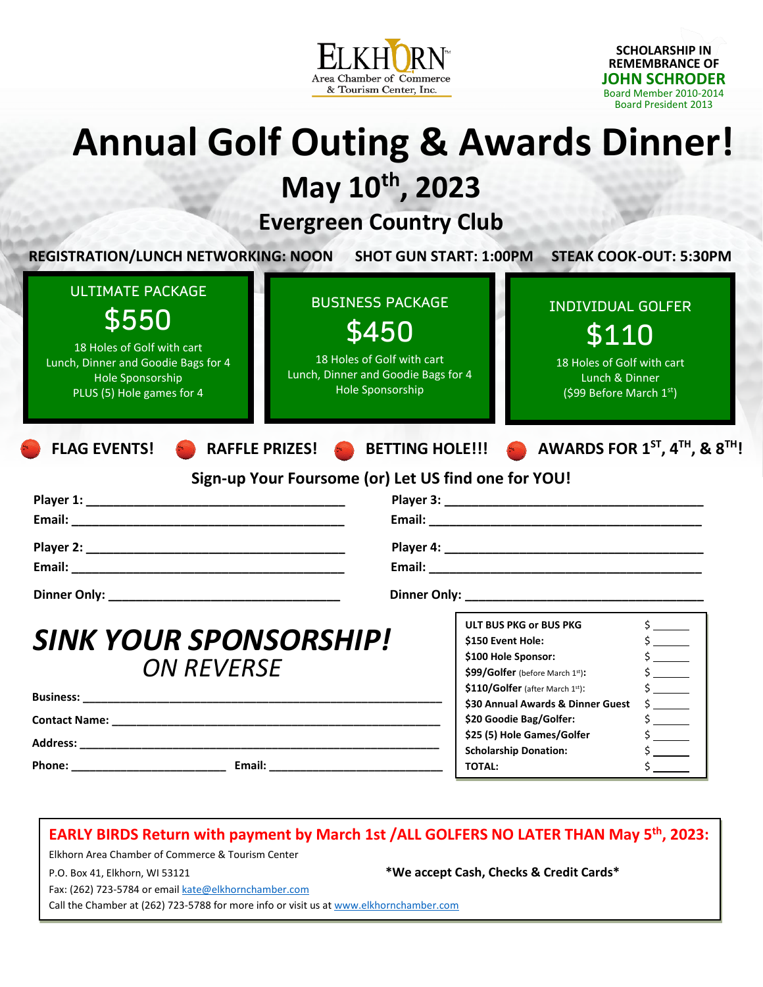

**SCHOLARSHIP IN REMEMBRANCE OF JOHN SCHRODER**  Board Member 2010-2014 Board President 2013

# **Annual Golf Outing & Awards Dinner!**

**May 10 th , 2023**

# **Evergreen Country Club**

| <b>ULTIMATE PACKAGE</b><br>\$550<br>18 Holes of Golf with cart<br>Lunch, Dinner and Goodie Bags for 4<br>Hole Sponsorship<br>PLUS (5) Hole games for 4 | <b>BUSINESS PACKAGE</b><br>\$450<br>18 Holes of Golf with cart<br>Lunch, Dinner and Goodie Bags for 4<br>Hole Sponsorship | <b>INDIVIDUAL GOLFER</b><br>\$110<br>18 Holes of Golf with cart<br>Lunch & Dinner<br>(\$99 Before March $1st$ )                       |                                                                         |
|--------------------------------------------------------------------------------------------------------------------------------------------------------|---------------------------------------------------------------------------------------------------------------------------|---------------------------------------------------------------------------------------------------------------------------------------|-------------------------------------------------------------------------|
| <b>FLAG EVENTS!</b>                                                                                                                                    |                                                                                                                           | RAFFLE PRIZES! BETTING HOLE!!! A AWARDS FOR $1^{ST}$ , $4^{TH}$ , & $8^{TH}$ !<br>Sign-up Your Foursome (or) Let US find one for YOU! |                                                                         |
|                                                                                                                                                        |                                                                                                                           |                                                                                                                                       |                                                                         |
|                                                                                                                                                        |                                                                                                                           |                                                                                                                                       |                                                                         |
|                                                                                                                                                        |                                                                                                                           |                                                                                                                                       |                                                                         |
|                                                                                                                                                        |                                                                                                                           |                                                                                                                                       |                                                                         |
|                                                                                                                                                        |                                                                                                                           |                                                                                                                                       |                                                                         |
|                                                                                                                                                        |                                                                                                                           |                                                                                                                                       |                                                                         |
|                                                                                                                                                        |                                                                                                                           | <b>ULT BUS PKG or BUS PKG</b>                                                                                                         | $\frac{1}{2}$                                                           |
| <b>SINK YOUR SPONSORSHIP!</b>                                                                                                                          |                                                                                                                           | \$150 Event Hole:                                                                                                                     | $\frac{1}{2}$                                                           |
|                                                                                                                                                        |                                                                                                                           | \$100 Hole Sponsor:                                                                                                                   | $\frac{1}{2}$                                                           |
| <b>ON REVERSE</b>                                                                                                                                      |                                                                                                                           | \$99/Golfer (before March 1st):                                                                                                       | $\frac{1}{2}$                                                           |
|                                                                                                                                                        |                                                                                                                           | \$110/Golfer (after March 1st):                                                                                                       | $\frac{1}{2}$                                                           |
|                                                                                                                                                        |                                                                                                                           | \$30 Annual Awards & Dinner Guest<br>\$20 Goodie Bag/Golfer:                                                                          | $\frac{1}{2}$<br>$\frac{1}{2}$                                          |
|                                                                                                                                                        |                                                                                                                           |                                                                                                                                       |                                                                         |
|                                                                                                                                                        |                                                                                                                           |                                                                                                                                       |                                                                         |
|                                                                                                                                                        |                                                                                                                           | \$25 (5) Hole Games/Golfer<br><b>Scholarship Donation:</b>                                                                            | $\frac{1}{2}$<br>$\mathsf{\dot{S}}$ , and the set of $\mathsf{\dot{S}}$ |

### **EARLY BIRDS Return with payment by March 1st /ALL GOLFERS NO LATER THAN May 5 th, 2023:**

Elkhorn Area Chamber of Commerce & Tourism Center

P.O. Box 41, Elkhorn, WI 53121 **\*We accept Cash, Checks & Credit Cards\***

Fax: (262) 723-5784 or emai[l kate@elkhornchamber.com](mailto:kate@elkhornchamber.com)

Call the Chamber at (262) 723-5788 for more info or visit us a[t www.elkhornchamber.com](http://www.elkhornchamber.com/)